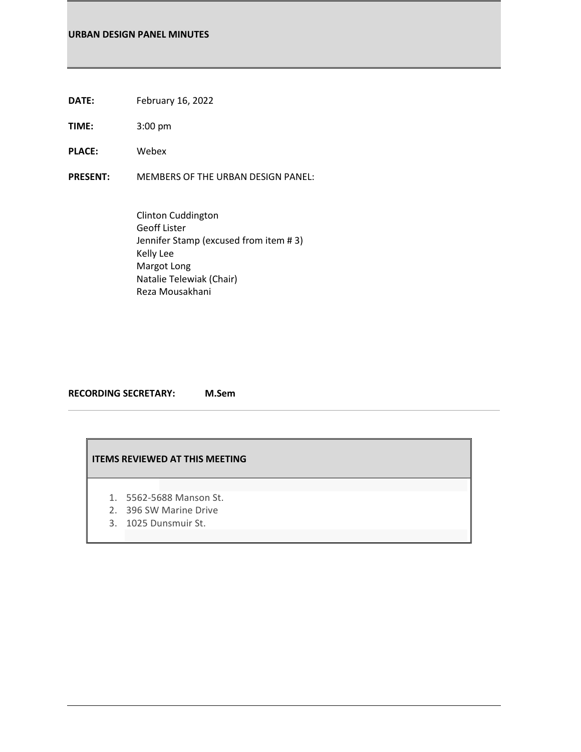# **URBAN DESIGN PANEL MINUTES**

- **DATE:** February 16, 2022
- **TIME:** 3:00 pm
- **PLACE:** Webex

**PRESENT:** MEMBERS OF THE URBAN DESIGN PANEL:

Clinton Cuddington Geoff Lister Jennifer Stamp (excused from item # 3) Kelly Lee Margot Long Natalie Telewiak (Chair) Reza Mousakhani

**RECORDING SECRETARY: M.Sem**

# **ITEMS REVIEWED AT THIS MEETING**

- 1. 5562-5688 Manson St.
- 2. 396 SW Marine Drive
- 3. 1025 Dunsmuir St.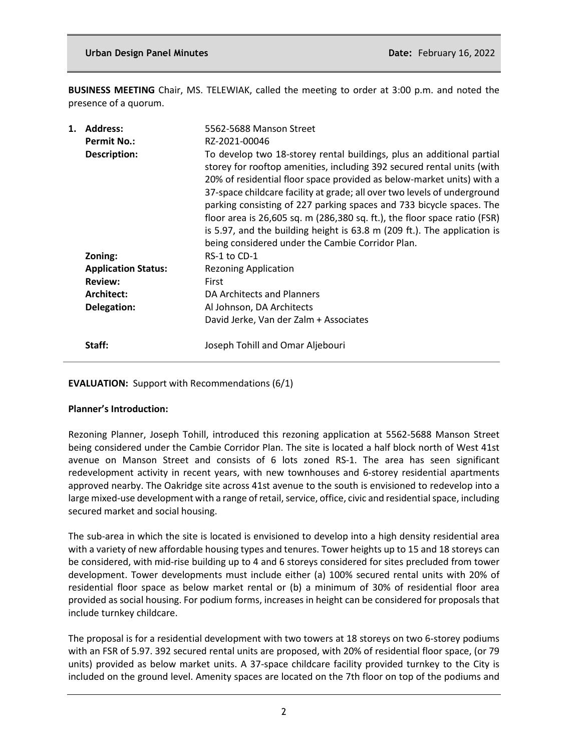**BUSINESS MEETING** Chair, MS. TELEWIAK, called the meeting to order at 3:00 p.m. and noted the presence of a quorum.

| <b>Address:</b>            | 5562-5688 Manson Street                                                                                                                                                                                                                                                                                                                                                                                                                                                                                                                                                                   |
|----------------------------|-------------------------------------------------------------------------------------------------------------------------------------------------------------------------------------------------------------------------------------------------------------------------------------------------------------------------------------------------------------------------------------------------------------------------------------------------------------------------------------------------------------------------------------------------------------------------------------------|
| <b>Permit No.:</b>         | RZ-2021-00046                                                                                                                                                                                                                                                                                                                                                                                                                                                                                                                                                                             |
| <b>Description:</b>        | To develop two 18-storey rental buildings, plus an additional partial<br>storey for rooftop amenities, including 392 secured rental units (with<br>20% of residential floor space provided as below-market units) with a<br>37-space childcare facility at grade; all over two levels of underground<br>parking consisting of 227 parking spaces and 733 bicycle spaces. The<br>floor area is 26,605 sq. m (286,380 sq. ft.), the floor space ratio (FSR)<br>is 5.97, and the building height is 63.8 m (209 ft.). The application is<br>being considered under the Cambie Corridor Plan. |
| Zoning:                    | RS-1 to CD-1                                                                                                                                                                                                                                                                                                                                                                                                                                                                                                                                                                              |
| <b>Application Status:</b> | <b>Rezoning Application</b>                                                                                                                                                                                                                                                                                                                                                                                                                                                                                                                                                               |
| <b>Review:</b>             | First                                                                                                                                                                                                                                                                                                                                                                                                                                                                                                                                                                                     |
| Architect:                 | DA Architects and Planners                                                                                                                                                                                                                                                                                                                                                                                                                                                                                                                                                                |
| Delegation:                | Al Johnson, DA Architects                                                                                                                                                                                                                                                                                                                                                                                                                                                                                                                                                                 |
|                            | David Jerke, Van der Zalm + Associates                                                                                                                                                                                                                                                                                                                                                                                                                                                                                                                                                    |
| Staff:                     | Joseph Tohill and Omar Aljebouri                                                                                                                                                                                                                                                                                                                                                                                                                                                                                                                                                          |
|                            |                                                                                                                                                                                                                                                                                                                                                                                                                                                                                                                                                                                           |

**EVALUATION:** Support with Recommendations (6/1)

## **Planner's Introduction:**

Rezoning Planner, Joseph Tohill, introduced this rezoning application at 5562-5688 Manson Street being considered under the Cambie Corridor Plan. The site is located a half block north of West 41st avenue on Manson Street and consists of 6 lots zoned RS-1. The area has seen significant redevelopment activity in recent years, with new townhouses and 6-storey residential apartments approved nearby. The Oakridge site across 41st avenue to the south is envisioned to redevelop into a large mixed-use development with a range of retail, service, office, civic and residential space, including secured market and social housing.

The sub-area in which the site is located is envisioned to develop into a high density residential area with a variety of new affordable housing types and tenures. Tower heights up to 15 and 18 storeys can be considered, with mid-rise building up to 4 and 6 storeys considered for sites precluded from tower development. Tower developments must include either (a) 100% secured rental units with 20% of residential floor space as below market rental or (b) a minimum of 30% of residential floor area provided as social housing. For podium forms, increases in height can be considered for proposals that include turnkey childcare.

The proposal is for a residential development with two towers at 18 storeys on two 6-storey podiums with an FSR of 5.97. 392 secured rental units are proposed, with 20% of residential floor space, (or 79 units) provided as below market units. A 37-space childcare facility provided turnkey to the City is included on the ground level. Amenity spaces are located on the 7th floor on top of the podiums and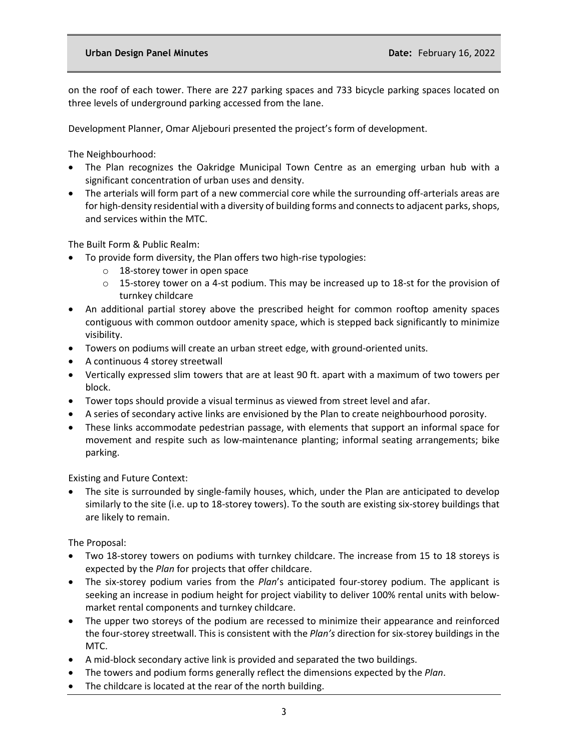on the roof of each tower. There are 227 parking spaces and 733 bicycle parking spaces located on three levels of underground parking accessed from the lane.

Development Planner, Omar Aljebouri presented the project's form of development.

The Neighbourhood:

- The Plan recognizes the Oakridge Municipal Town Centre as an emerging urban hub with a significant concentration of urban uses and density.
- The arterials will form part of a new commercial core while the surrounding off-arterials areas are for high-density residential with a diversity of building forms and connects to adjacent parks, shops, and services within the MTC.

The Built Form & Public Realm:

- To provide form diversity, the Plan offers two high-rise typologies:
	- o 18-storey tower in open space
	- $\circ$  15-storey tower on a 4-st podium. This may be increased up to 18-st for the provision of turnkey childcare
- An additional partial storey above the prescribed height for common rooftop amenity spaces contiguous with common outdoor amenity space, which is stepped back significantly to minimize visibility.
- Towers on podiums will create an urban street edge, with ground-oriented units.
- A continuous 4 storey streetwall
- Vertically expressed slim towers that are at least 90 ft. apart with a maximum of two towers per block.
- Tower tops should provide a visual terminus as viewed from street level and afar.
- A series of secondary active links are envisioned by the Plan to create neighbourhood porosity.
- These links accommodate pedestrian passage, with elements that support an informal space for movement and respite such as low-maintenance planting; informal seating arrangements; bike parking.

Existing and Future Context:

The site is surrounded by single-family houses, which, under the Plan are anticipated to develop similarly to the site (i.e. up to 18-storey towers). To the south are existing six-storey buildings that are likely to remain.

The Proposal:

- Two 18-storey towers on podiums with turnkey childcare. The increase from 15 to 18 storeys is expected by the *Plan* for projects that offer childcare.
- The six-storey podium varies from the *Plan*'s anticipated four-storey podium. The applicant is seeking an increase in podium height for project viability to deliver 100% rental units with belowmarket rental components and turnkey childcare.
- The upper two storeys of the podium are recessed to minimize their appearance and reinforced the four-storey streetwall. This is consistent with the *Plan's* direction for six-storey buildings in the MTC.
- A mid-block secondary active link is provided and separated the two buildings.
- The towers and podium forms generally reflect the dimensions expected by the *Plan*.
- The childcare is located at the rear of the north building.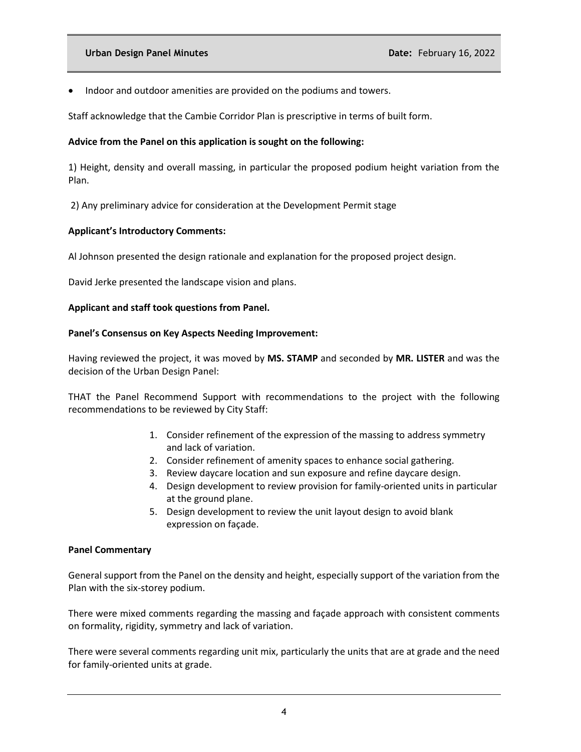• Indoor and outdoor amenities are provided on the podiums and towers.

Staff acknowledge that the Cambie Corridor Plan is prescriptive in terms of built form.

## **Advice from the Panel on this application is sought on the following:**

1) Height, density and overall massing, in particular the proposed podium height variation from the Plan.

2) Any preliminary advice for consideration at the Development Permit stage

### **Applicant's Introductory Comments:**

Al Johnson presented the design rationale and explanation for the proposed project design.

David Jerke presented the landscape vision and plans.

### **Applicant and staff took questions from Panel.**

### **Panel's Consensus on Key Aspects Needing Improvement:**

Having reviewed the project, it was moved by **MS. STAMP** and seconded by **MR. LISTER** and was the decision of the Urban Design Panel:

THAT the Panel Recommend Support with recommendations to the project with the following recommendations to be reviewed by City Staff:

- 1. Consider refinement of the expression of the massing to address symmetry and lack of variation.
- 2. Consider refinement of amenity spaces to enhance social gathering.
- 3. Review daycare location and sun exposure and refine daycare design.
- 4. Design development to review provision for family-oriented units in particular at the ground plane.
- 5. Design development to review the unit layout design to avoid blank expression on façade.

#### **Panel Commentary**

General support from the Panel on the density and height, especially support of the variation from the Plan with the six-storey podium.

There were mixed comments regarding the massing and façade approach with consistent comments on formality, rigidity, symmetry and lack of variation.

There were several comments regarding unit mix, particularly the units that are at grade and the need for family-oriented units at grade.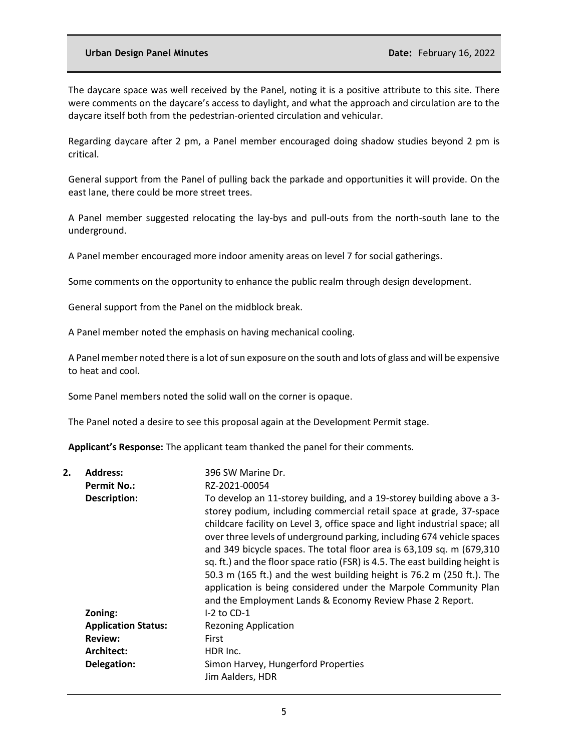#### **Urban Design Panel Minutes Date:** February 16, 2022

The daycare space was well received by the Panel, noting it is a positive attribute to this site. There were comments on the daycare's access to daylight, and what the approach and circulation are to the daycare itself both from the pedestrian-oriented circulation and vehicular.

Regarding daycare after 2 pm, a Panel member encouraged doing shadow studies beyond 2 pm is critical.

General support from the Panel of pulling back the parkade and opportunities it will provide. On the east lane, there could be more street trees.

A Panel member suggested relocating the lay-bys and pull-outs from the north-south lane to the underground.

A Panel member encouraged more indoor amenity areas on level 7 for social gatherings.

Some comments on the opportunity to enhance the public realm through design development.

General support from the Panel on the midblock break.

A Panel member noted the emphasis on having mechanical cooling.

A Panel member noted there is a lot of sun exposure on the south and lots of glass and will be expensive to heat and cool.

Some Panel members noted the solid wall on the corner is opaque.

The Panel noted a desire to see this proposal again at the Development Permit stage.

**Applicant's Response:** The applicant team thanked the panel for their comments.

| 2. | <b>Address:</b>            | 396 SW Marine Dr.                                                                                                                                                                                                                                                                                                                                                                                                                                                                                                                                                                                                                                                         |
|----|----------------------------|---------------------------------------------------------------------------------------------------------------------------------------------------------------------------------------------------------------------------------------------------------------------------------------------------------------------------------------------------------------------------------------------------------------------------------------------------------------------------------------------------------------------------------------------------------------------------------------------------------------------------------------------------------------------------|
|    | <b>Permit No.:</b>         | RZ-2021-00054                                                                                                                                                                                                                                                                                                                                                                                                                                                                                                                                                                                                                                                             |
|    | Description:               | To develop an 11-storey building, and a 19-storey building above a 3-<br>storey podium, including commercial retail space at grade, 37-space<br>childcare facility on Level 3, office space and light industrial space; all<br>over three levels of underground parking, including 674 vehicle spaces<br>and 349 bicycle spaces. The total floor area is 63,109 sq. m (679,310<br>sq. ft.) and the floor space ratio (FSR) is 4.5. The east building height is<br>50.3 m (165 ft.) and the west building height is 76.2 m (250 ft.). The<br>application is being considered under the Marpole Community Plan<br>and the Employment Lands & Economy Review Phase 2 Report. |
|    | Zoning:                    | $I-2$ to CD-1                                                                                                                                                                                                                                                                                                                                                                                                                                                                                                                                                                                                                                                             |
|    | <b>Application Status:</b> | <b>Rezoning Application</b>                                                                                                                                                                                                                                                                                                                                                                                                                                                                                                                                                                                                                                               |
|    | <b>Review:</b>             | First                                                                                                                                                                                                                                                                                                                                                                                                                                                                                                                                                                                                                                                                     |
|    | Architect:                 | HDR Inc.                                                                                                                                                                                                                                                                                                                                                                                                                                                                                                                                                                                                                                                                  |
|    | Delegation:                | Simon Harvey, Hungerford Properties<br>Jim Aalders, HDR                                                                                                                                                                                                                                                                                                                                                                                                                                                                                                                                                                                                                   |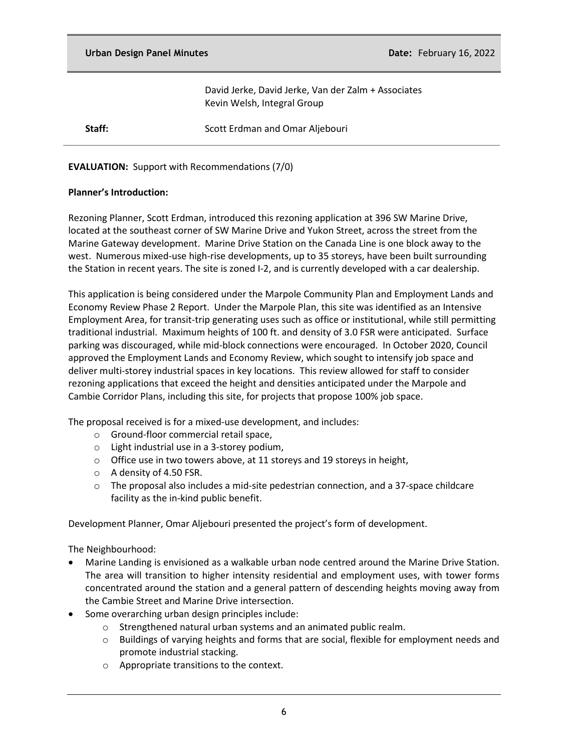David Jerke, David Jerke, Van der Zalm + Associates Kevin Welsh, Integral Group

**Staff:** Scott Erdman and Omar Aljebouri

## **EVALUATION:** Support with Recommendations (7/0)

### **Planner's Introduction:**

Rezoning Planner, Scott Erdman, introduced this rezoning application at 396 SW Marine Drive, located at the southeast corner of SW Marine Drive and Yukon Street, across the street from the Marine Gateway development. Marine Drive Station on the Canada Line is one block away to the west. Numerous mixed-use high-rise developments, up to 35 storeys, have been built surrounding the Station in recent years. The site is zoned I-2, and is currently developed with a car dealership.

This application is being considered under the Marpole Community Plan and Employment Lands and Economy Review Phase 2 Report. Under the Marpole Plan, this site was identified as an Intensive Employment Area, for transit-trip generating uses such as office or institutional, while still permitting traditional industrial. Maximum heights of 100 ft. and density of 3.0 FSR were anticipated. Surface parking was discouraged, while mid-block connections were encouraged. In October 2020, Council approved the Employment Lands and Economy Review, which sought to intensify job space and deliver multi-storey industrial spaces in key locations. This review allowed for staff to consider rezoning applications that exceed the height and densities anticipated under the Marpole and Cambie Corridor Plans, including this site, for projects that propose 100% job space.

The proposal received is for a mixed-use development, and includes:

- o Ground-floor commercial retail space,
- o Light industrial use in a 3-storey podium,
- o Office use in two towers above, at 11 storeys and 19 storeys in height,
- o A density of 4.50 FSR.
- $\circ$  The proposal also includes a mid-site pedestrian connection, and a 37-space childcare facility as the in-kind public benefit.

Development Planner, Omar Aljebouri presented the project's form of development.

The Neighbourhood:

- Marine Landing is envisioned as a walkable urban node centred around the Marine Drive Station. The area will transition to higher intensity residential and employment uses, with tower forms concentrated around the station and a general pattern of descending heights moving away from the Cambie Street and Marine Drive intersection.
- Some overarching urban design principles include:
	- o Strengthened natural urban systems and an animated public realm.
	- o Buildings of varying heights and forms that are social, flexible for employment needs and promote industrial stacking.
	- o Appropriate transitions to the context.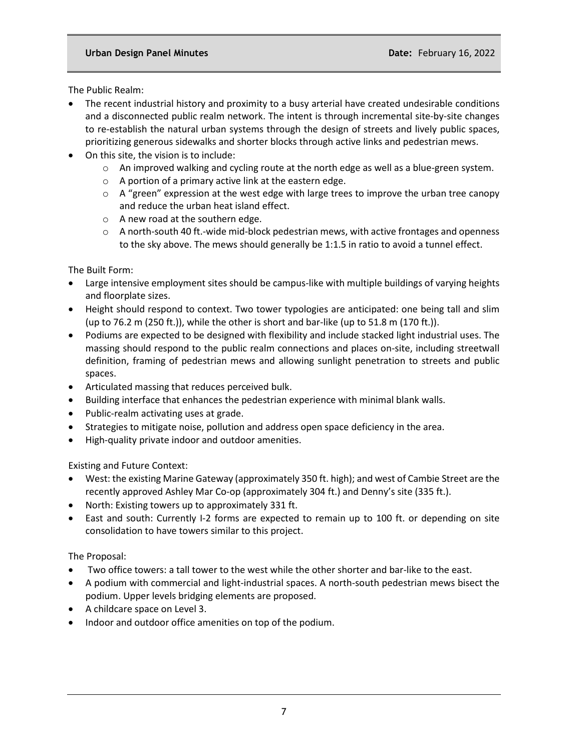The Public Realm:

- The recent industrial history and proximity to a busy arterial have created undesirable conditions and a disconnected public realm network. The intent is through incremental site-by-site changes to re-establish the natural urban systems through the design of streets and lively public spaces, prioritizing generous sidewalks and shorter blocks through active links and pedestrian mews.
- On this site, the vision is to include:
	- $\circ$  An improved walking and cycling route at the north edge as well as a blue-green system.
	- o A portion of a primary active link at the eastern edge.
	- $\circ$  A "green" expression at the west edge with large trees to improve the urban tree canopy and reduce the urban heat island effect.
	- o A new road at the southern edge.
	- $\circ$  A north-south 40 ft.-wide mid-block pedestrian mews, with active frontages and openness to the sky above. The mews should generally be 1:1.5 in ratio to avoid a tunnel effect.

The Built Form:

- Large intensive employment sites should be campus-like with multiple buildings of varying heights and floorplate sizes.
- Height should respond to context. Two tower typologies are anticipated: one being tall and slim (up to 76.2 m (250 ft.)), while the other is short and bar-like (up to 51.8 m (170 ft.)).
- Podiums are expected to be designed with flexibility and include stacked light industrial uses. The massing should respond to the public realm connections and places on-site, including streetwall definition, framing of pedestrian mews and allowing sunlight penetration to streets and public spaces.
- Articulated massing that reduces perceived bulk.
- Building interface that enhances the pedestrian experience with minimal blank walls.
- Public-realm activating uses at grade.
- Strategies to mitigate noise, pollution and address open space deficiency in the area.
- High-quality private indoor and outdoor amenities.

Existing and Future Context:

- West: the existing Marine Gateway (approximately 350 ft. high); and west of Cambie Street are the recently approved Ashley Mar Co-op (approximately 304 ft.) and Denny's site (335 ft.).
- North: Existing towers up to approximately 331 ft.
- East and south: Currently I-2 forms are expected to remain up to 100 ft. or depending on site consolidation to have towers similar to this project.

The Proposal:

- Two office towers: a tall tower to the west while the other shorter and bar-like to the east.
- A podium with commercial and light-industrial spaces. A north-south pedestrian mews bisect the podium. Upper levels bridging elements are proposed.
- A childcare space on Level 3.
- Indoor and outdoor office amenities on top of the podium.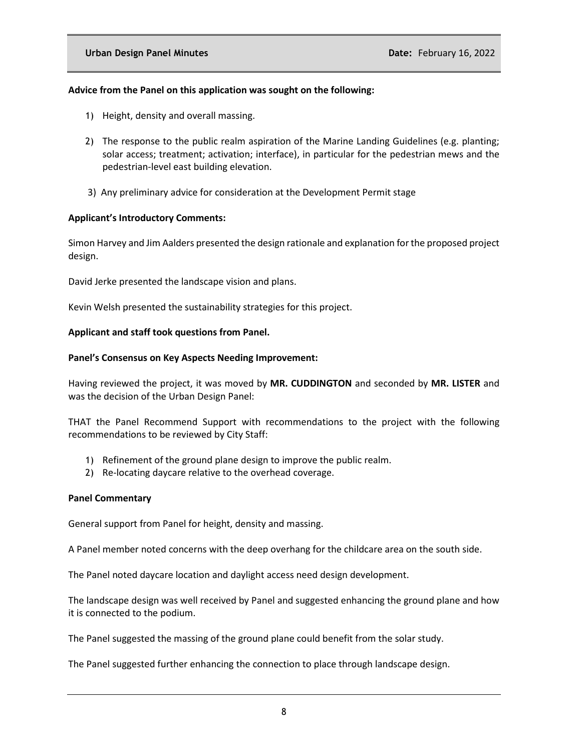## **Advice from the Panel on this application was sought on the following:**

- 1) Height, density and overall massing.
- 2) The response to the public realm aspiration of the Marine Landing Guidelines (e.g. planting; solar access; treatment; activation; interface), in particular for the pedestrian mews and the pedestrian-level east building elevation.
- 3) Any preliminary advice for consideration at the Development Permit stage

### **Applicant's Introductory Comments:**

Simon Harvey and Jim Aalders presented the design rationale and explanation for the proposed project design.

David Jerke presented the landscape vision and plans.

Kevin Welsh presented the sustainability strategies for this project.

### **Applicant and staff took questions from Panel.**

### **Panel's Consensus on Key Aspects Needing Improvement:**

Having reviewed the project, it was moved by **MR. CUDDINGTON** and seconded by **MR. LISTER** and was the decision of the Urban Design Panel:

THAT the Panel Recommend Support with recommendations to the project with the following recommendations to be reviewed by City Staff:

- 1) Refinement of the ground plane design to improve the public realm.
- 2) Re-locating daycare relative to the overhead coverage.

#### **Panel Commentary**

General support from Panel for height, density and massing.

A Panel member noted concerns with the deep overhang for the childcare area on the south side.

The Panel noted daycare location and daylight access need design development.

The landscape design was well received by Panel and suggested enhancing the ground plane and how it is connected to the podium.

The Panel suggested the massing of the ground plane could benefit from the solar study.

The Panel suggested further enhancing the connection to place through landscape design.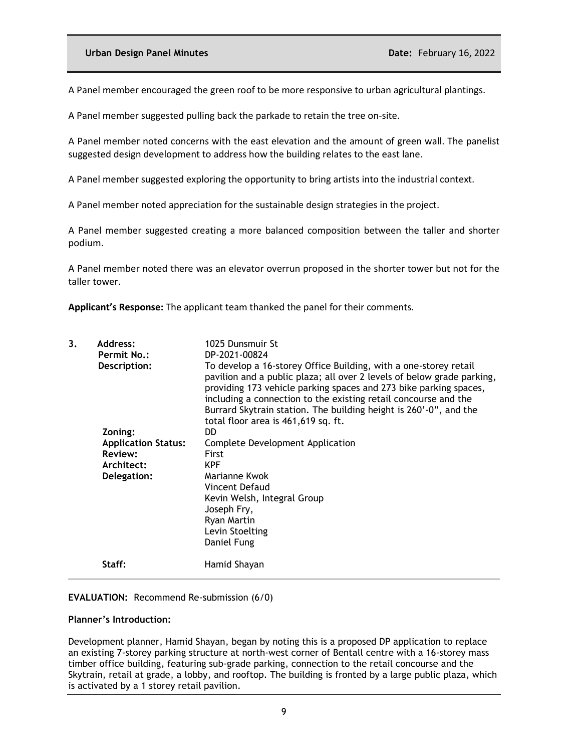A Panel member encouraged the green roof to be more responsive to urban agricultural plantings.

A Panel member suggested pulling back the parkade to retain the tree on-site.

A Panel member noted concerns with the east elevation and the amount of green wall. The panelist suggested design development to address how the building relates to the east lane.

A Panel member suggested exploring the opportunity to bring artists into the industrial context.

A Panel member noted appreciation for the sustainable design strategies in the project.

A Panel member suggested creating a more balanced composition between the taller and shorter podium.

A Panel member noted there was an elevator overrun proposed in the shorter tower but not for the taller tower.

**Applicant's Response:** The applicant team thanked the panel for their comments.

| 3. | Address:<br><b>Permit No.:</b><br>Description:   | 1025 Dunsmuir St<br>DP-2021-00824<br>To develop a 16-storey Office Building, with a one-storey retail<br>pavilion and a public plaza; all over 2 levels of below grade parking,<br>providing 173 vehicle parking spaces and 273 bike parking spaces,<br>including a connection to the existing retail concourse and the<br>Burrard Skytrain station. The building height is 260'-0", and the<br>total floor area is 461,619 sq. ft. |
|----|--------------------------------------------------|-------------------------------------------------------------------------------------------------------------------------------------------------------------------------------------------------------------------------------------------------------------------------------------------------------------------------------------------------------------------------------------------------------------------------------------|
|    | Zoning:<br><b>Application Status:</b><br>Review: | DD.<br>Complete Development Application<br>First                                                                                                                                                                                                                                                                                                                                                                                    |
|    | Architect:                                       | <b>KPF</b>                                                                                                                                                                                                                                                                                                                                                                                                                          |
|    | Delegation:                                      | Marianne Kwok<br>Vincent Defaud<br>Kevin Welsh, Integral Group<br>Joseph Fry,<br>Ryan Martin<br>Levin Stoelting<br>Daniel Fung                                                                                                                                                                                                                                                                                                      |
|    | Staff:                                           | Hamid Shayan                                                                                                                                                                                                                                                                                                                                                                                                                        |

## **EVALUATION:** Recommend Re-submission (6/0)

## **Planner's Introduction:**

Development planner, Hamid Shayan, began by noting this is a proposed DP application to replace an existing 7-storey parking structure at north-west corner of Bentall centre with a 16-storey mass timber office building, featuring sub-grade parking, connection to the retail concourse and the Skytrain, retail at grade, a lobby, and rooftop. The building is fronted by a large public plaza, which is activated by a 1 storey retail pavilion.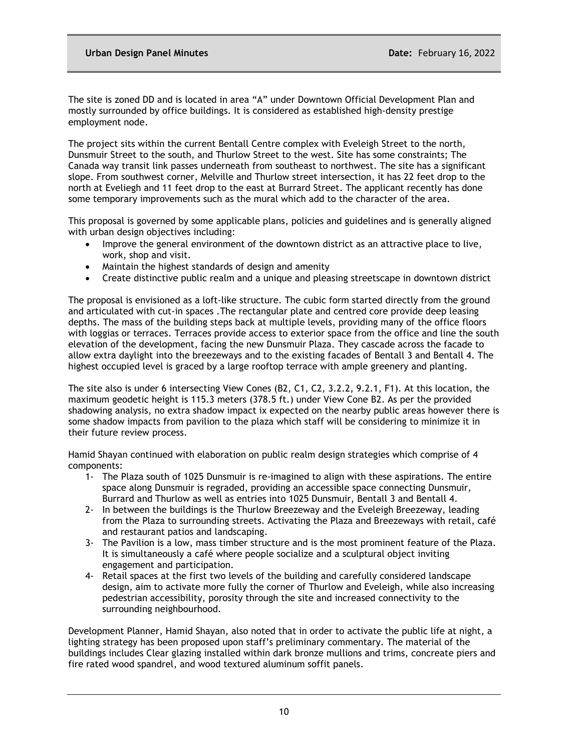The site is zoned DD and is located in area "A" under Downtown Official Development Plan and mostly surrounded by office buildings. It is considered as established high-density prestige employment node.

The project sits within the current Bentall Centre complex with Eveleigh Street to the north, Dunsmuir Street to the south, and Thurlow Street to the west. Site has some constraints; The Canada way transit link passes underneath from southeast to northwest. The site has a significant slope. From southwest corner, Melville and Thurlow street intersection, it has 22 feet drop to the north at Eveliegh and 11 feet drop to the east at Burrard Street. The applicant recently has done some temporary improvements such as the mural which add to the character of the area.

This proposal is governed by some applicable plans, policies and guidelines and is generally aligned with urban design objectives including:

- Improve the general environment of the downtown district as an attractive place to live, work, shop and visit.
- Maintain the highest standards of design and amenity
- Create distinctive public realm and a unique and pleasing streetscape in downtown district

The proposal is envisioned as a loft-like structure. The cubic form started directly from the ground and articulated with cut-in spaces .The rectangular plate and centred core provide deep leasing depths. The mass of the building steps back at multiple levels, providing many of the office floors with loggias or terraces. Terraces provide access to exterior space from the office and line the south elevation of the development, facing the new Dunsmuir Plaza. They cascade across the facade to allow extra daylight into the breezeways and to the existing facades of Bentall 3 and Bentall 4. The highest occupied level is graced by a large rooftop terrace with ample greenery and planting.

The site also is under 6 intersecting View Cones (B2, C1, C2, 3.2.2, 9.2.1, F1). At this location, the maximum geodetic height is 115.3 meters (378.5 ft.) under View Cone B2. As per the provided shadowing analysis, no extra shadow impact ix expected on the nearby public areas however there is some shadow impacts from pavilion to the plaza which staff will be considering to minimize it in their future review process.

Hamid Shayan continued with elaboration on public realm design strategies which comprise of 4 components:

- 1- The Plaza south of 1025 Dunsmuir is re-imagined to align with these aspirations. The entire space along Dunsmuir is regraded, providing an accessible space connecting Dunsmuir, Burrard and Thurlow as well as entries into 1025 Dunsmuir, Bentall 3 and Bentall 4.
- 2- In between the buildings is the Thurlow Breezeway and the Eveleigh Breezeway, leading from the Plaza to surrounding streets. Activating the Plaza and Breezeways with retail, café and restaurant patios and landscaping.
- 3- The Pavilion is a low, mass timber structure and is the most prominent feature of the Plaza. It is simultaneously a café where people socialize and a sculptural object inviting engagement and participation.
- 4- Retail spaces at the first two levels of the building and carefully considered landscape design, aim to activate more fully the corner of Thurlow and Eveleigh, while also increasing pedestrian accessibility, porosity through the site and increased connectivity to the surrounding neighbourhood.

Development Planner, Hamid Shayan, also noted that in order to activate the public life at night, a lighting strategy has been proposed upon staff's preliminary commentary. The material of the buildings includes Clear glazing installed within dark bronze mullions and trims, concreate piers and fire rated wood spandrel, and wood textured aluminum soffit panels.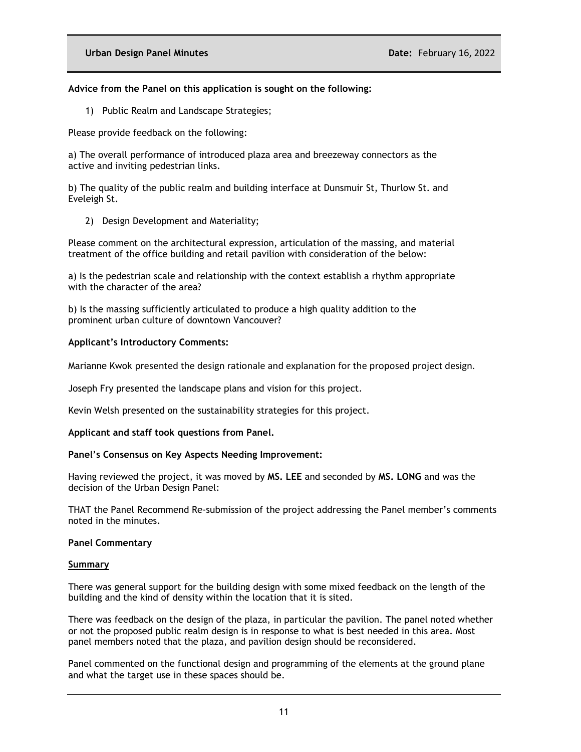## **Advice from the Panel on this application is sought on the following:**

1) Public Realm and Landscape Strategies;

Please provide feedback on the following:

a) The overall performance of introduced plaza area and breezeway connectors as the active and inviting pedestrian links.

b) The quality of the public realm and building interface at Dunsmuir St, Thurlow St. and Eveleigh St.

2) Design Development and Materiality;

Please comment on the architectural expression, articulation of the massing, and material treatment of the office building and retail pavilion with consideration of the below:

a) Is the pedestrian scale and relationship with the context establish a rhythm appropriate with the character of the area?

b) Is the massing sufficiently articulated to produce a high quality addition to the prominent urban culture of downtown Vancouver?

# **Applicant's Introductory Comments:**

Marianne Kwok presented the design rationale and explanation for the proposed project design.

Joseph Fry presented the landscape plans and vision for this project.

Kevin Welsh presented on the sustainability strategies for this project.

## **Applicant and staff took questions from Panel.**

## **Panel's Consensus on Key Aspects Needing Improvement:**

Having reviewed the project, it was moved by **MS. LEE** and seconded by **MS. LONG** and was the decision of the Urban Design Panel:

THAT the Panel Recommend Re-submission of the project addressing the Panel member's comments noted in the minutes.

## **Panel Commentary**

#### **Summary**

There was general support for the building design with some mixed feedback on the length of the building and the kind of density within the location that it is sited.

There was feedback on the design of the plaza, in particular the pavilion. The panel noted whether or not the proposed public realm design is in response to what is best needed in this area. Most panel members noted that the plaza, and pavilion design should be reconsidered.

Panel commented on the functional design and programming of the elements at the ground plane and what the target use in these spaces should be.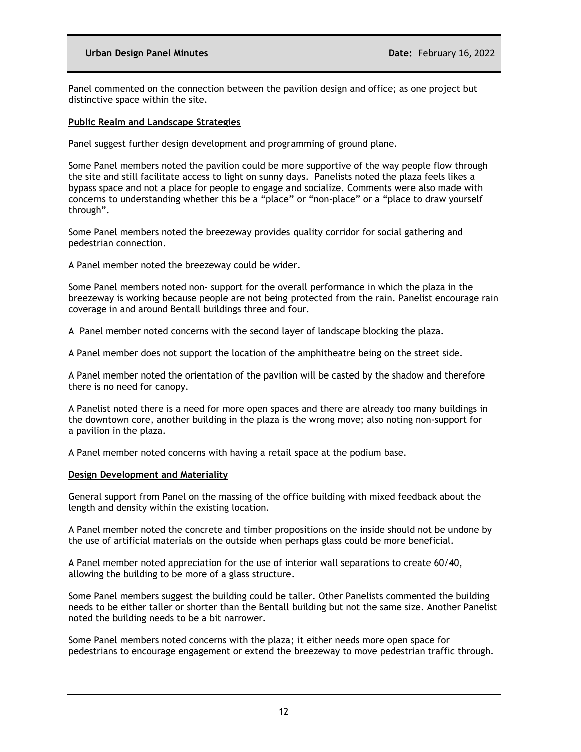### **Urban Design Panel Minutes Date:** February 16, 2022

Panel commented on the connection between the pavilion design and office; as one project but distinctive space within the site.

#### **Public Realm and Landscape Strategies**

Panel suggest further design development and programming of ground plane.

Some Panel members noted the pavilion could be more supportive of the way people flow through the site and still facilitate access to light on sunny days. Panelists noted the plaza feels likes a bypass space and not a place for people to engage and socialize. Comments were also made with concerns to understanding whether this be a "place" or "non-place" or a "place to draw yourself through".

Some Panel members noted the breezeway provides quality corridor for social gathering and pedestrian connection.

A Panel member noted the breezeway could be wider.

Some Panel members noted non- support for the overall performance in which the plaza in the breezeway is working because people are not being protected from the rain. Panelist encourage rain coverage in and around Bentall buildings three and four.

A Panel member noted concerns with the second layer of landscape blocking the plaza.

A Panel member does not support the location of the amphitheatre being on the street side.

A Panel member noted the orientation of the pavilion will be casted by the shadow and therefore there is no need for canopy.

A Panelist noted there is a need for more open spaces and there are already too many buildings in the downtown core, another building in the plaza is the wrong move; also noting non-support for a pavilion in the plaza.

A Panel member noted concerns with having a retail space at the podium base.

#### **Design Development and Materiality**

General support from Panel on the massing of the office building with mixed feedback about the length and density within the existing location.

A Panel member noted the concrete and timber propositions on the inside should not be undone by the use of artificial materials on the outside when perhaps glass could be more beneficial.

A Panel member noted appreciation for the use of interior wall separations to create 60/40, allowing the building to be more of a glass structure.

Some Panel members suggest the building could be taller. Other Panelists commented the building needs to be either taller or shorter than the Bentall building but not the same size. Another Panelist noted the building needs to be a bit narrower.

Some Panel members noted concerns with the plaza; it either needs more open space for pedestrians to encourage engagement or extend the breezeway to move pedestrian traffic through.